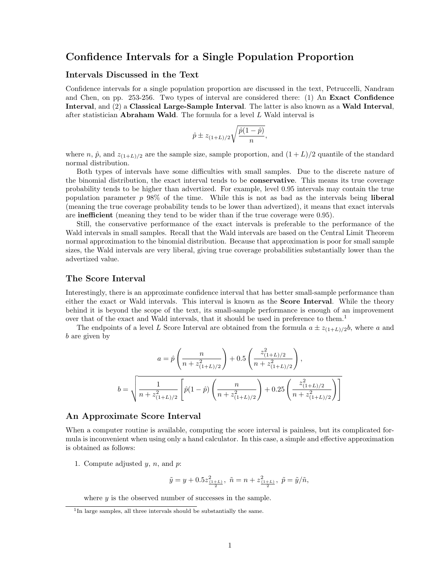### Confidence Intervals for a Single Population Proportion

### Intervals Discussed in the Text

Confidence intervals for a single population proportion are discussed in the text, Petruccelli, Nandram and Chen, on pp. 253-256. Two types of interval are considered there: (1) An Exact Confidence Interval, and (2) a Classical Large-Sample Interval. The latter is also known as a Wald Interval, after statistician **Abraham Wald**. The formula for a level  $L$  Wald interval is

$$
\hat{p} \pm z_{(1+L)/2} \sqrt{\frac{\hat{p}(1-\hat{p})}{n}},
$$

where n,  $\hat{p}$ , and  $z_{(1+L)/2}$  are the sample size, sample proportion, and  $(1+L)/2$  quantile of the standard normal distribution.

Both types of intervals have some difficulties with small samples. Due to the discrete nature of the binomial distribution, the exact interval tends to be conservative. This means its true coverage probability tends to be higher than advertized. For example, level 0.95 intervals may contain the true population parameter p  $98\%$  of the time. While this is not as bad as the intervals being liberal (meaning the true coverage probability tends to be lower than advertized), it means that exact intervals are inefficient (meaning they tend to be wider than if the true coverage were 0.95).

Still, the conservative performance of the exact intervals is preferable to the performance of the Wald intervals in small samples. Recall that the Wald intervals are based on the Central Limit Theorem normal approximation to the binomial distribution. Because that approximation is poor for small sample sizes, the Wald intervals are very liberal, giving true coverage probabilities substantially lower than the advertized value.

### The Score Interval

Interestingly, there is an approximate confidence interval that has better small-sample performance than either the exact or Wald intervals. This interval is known as the **Score Interval**. While the theory behind it is beyond the scope of the text, its small-sample performance is enough of an improvement over that of the exact and Wald intervals, that it should be used in preference to them.<sup>1</sup>

The endpoints of a level L Score Interval are obtained from the formula  $a \pm z_{(1+L)/2}b$ , where a and b are given by

$$
a = \hat{p}\left(\frac{n}{n + z_{(1+L)/2}^2}\right) + 0.5\left(\frac{z_{(1+L)/2}^2}{n + z_{(1+L)/2}^2}\right),
$$

$$
b = \sqrt{\frac{1}{n + z_{(1+L)/2}^2}\left[\hat{p}(1-\hat{p})\left(\frac{n}{n + z_{(1+L)/2}^2}\right) + 0.25\left(\frac{z_{(1+L)/2}^2}{n + z_{(1+L)/2}^2}\right)\right]}
$$

### An Approximate Score Interval

When a computer routine is available, computing the score interval is painless, but its complicated formula is inconvenient when using only a hand calculator. In this case, a simple and effective approximation is obtained as follows:

1. Compute adjusted  $y, n$ , and  $p$ :

$$
\tilde{y}=y+0.5z_{\tfrac{(1+L)}{2}}^{2},\ \tilde{n}=n+z_{\tfrac{(1+L)}{2}}^{2},\ \tilde{p}=\tilde{y}/\tilde{n},
$$

where  $y$  is the observed number of successes in the sample.

<sup>&</sup>lt;sup>1</sup>In large samples, all three intervals should be substantially the same.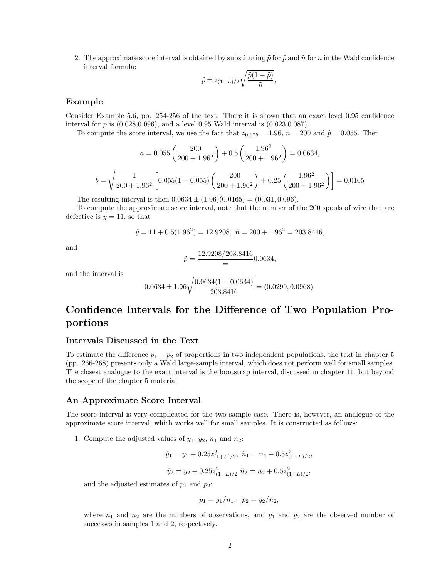2. The approximate score interval is obtained by substituting  $\tilde{p}$  for  $\hat{p}$  and  $\tilde{n}$  for n in the Wald confidence interval formula:

$$
\tilde{p} \pm z_{(1+L)/2} \sqrt{\frac{\tilde{p}(1-\tilde{p})}{\tilde{n}}},
$$

### Example

Consider Example 5.6, pp. 254-256 of the text. There it is shown that an exact level 0.95 confidence interval for  $p$  is  $(0.028, 0.096)$ , and a level 0.95 Wald interval is  $(0.023, 0.087)$ .

To compute the score interval, we use the fact that  $z_{0.975} = 1.96$ ,  $n = 200$  and  $\hat{p} = 0.055$ . Then

$$
a = 0.055 \left( \frac{200}{200 + 1.96^2} \right) + 0.5 \left( \frac{1.96^2}{200 + 1.96^2} \right) = 0.0634,
$$
  

$$
b = \sqrt{\frac{1}{200 + 1.96^2} \left[ 0.055(1 - 0.055) \left( \frac{200}{200 + 1.96^2} \right) + 0.25 \left( \frac{1.96^2}{200 + 1.96^2} \right) \right]} = 0.0165
$$

The resulting interval is then  $0.0634 \pm (1.96)(0.0165) = (0.031, 0.096)$ .

To compute the approximate score interval, note that the number of the 200 spools of wire that are defective is  $y = 11$ , so that

$$
\tilde{y} = 11 + 0.5(1.96^2) = 12.9208, \ \tilde{n} = 200 + 1.96^2 = 203.8416,
$$

and

$$
\tilde{p} = \frac{12.9208/203.8416}{=}0.0634,
$$

and the interval is

$$
0.0634 \pm 1.96\sqrt{\frac{0.0634(1 - 0.0634)}{203.8416}} = (0.0299, 0.0968).
$$

# Confidence Intervals for the Difference of Two Population Proportions

### Intervals Discussed in the Text

To estimate the difference  $p_1 - p_2$  of proportions in two independent populations, the text in chapter 5 (pp. 266-268) presents only a Wald large-sample interval, which does not perform well for small samples. The closest analogue to the exact interval is the bootstrap interval, discussed in chapter 11, but beyond the scope of the chapter 5 material.

### An Approximate Score Interval

The score interval is very complicated for the two sample case. There is, however, an analogue of the approximate score interval, which works well for small samples. It is constructed as follows:

1. Compute the adjusted values of  $y_1, y_2, n_1$  and  $n_2$ :

$$
\tilde{y}_1 = y_1 + 0.25z_{(1+L)/2}^2
$$
,  $\tilde{n}_1 = n_1 + 0.5z_{(1+L)/2}^2$ ,  
\n $\tilde{y}_2 = y_2 + 0.25z_{(1+L)/2}^2$ ,  $\tilde{n}_2 = n_2 + 0.5z_{(1+L)/2}^2$ ,

and the adjusted estimates of  $p_1$  and  $p_2$ :

$$
\tilde{p}_1 = \tilde{y}_1 / \tilde{n}_1, \quad \tilde{p}_2 = \tilde{y}_2 / \tilde{n}_2,
$$

where  $n_1$  and  $n_2$  are the numbers of observations, and  $y_1$  and  $y_2$  are the observed number of successes in samples 1 and 2, respectively.